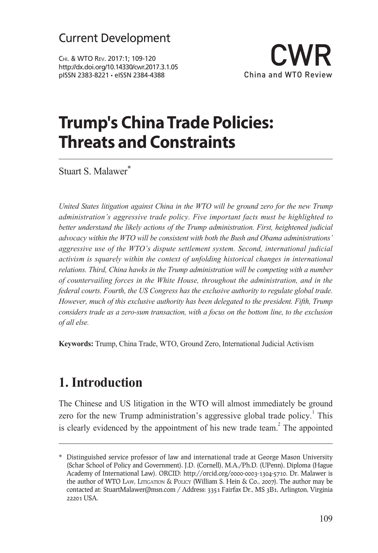Chi. & WTO Rev. 2017:1; 109-120 http://dx.doi.org/10.14330/cwr.2017.3.1.05 pISSN 2383-8221 • eISSN 2384-4388



### **Trump's China Trade Policies: Threats and Constraints**

Stuart S. Malawer<sup>\*</sup>

*United States litigation against China in the WTO will be ground zero for the new Trump administration's aggressive trade policy. Five important facts must be highlighted to better understand the likely actions of the Trump administration. First, heightened judicial advocacy within the WTO will be consistent with both the Bush and Obama administrations' aggressive use of the WTO's dispute settlement system. Second, international judicial activism is squarely within the context of unfolding historical changes in international relations. Third, China hawks in the Trump administration will be competing with a number of countervailing forces in the White House, throughout the administration, and in the federal courts. Fourth, the US Congress has the exclusive authority to regulate global trade. However, much of this exclusive authority has been delegated to the president. Fifth, Trump considers trade as a zero-sum transaction, with a focus on the bottom line, to the exclusion of all else.*

**Keywords:** Trump, China Trade, WTO, Ground Zero, International Judicial Activism

#### **1. Introduction**

The Chinese and US litigation in the WTO will almost immediately be ground zero for the new Trump administration's aggressive global trade policy.<sup>1</sup> This is clearly evidenced by the appointment of his new trade team. $3$  The appointed

<sup>\*</sup> Distinguished service professor of law and international trade at George Mason University (Schar School of Policy and Government). J.D. (Cornell), M.A./Ph.D. (UPenn), Diploma (Hague Academy of International Law). ORCID: http://orcid.org/0000-0003-1304-5710. Dr. Malawer is the author of WTO Law, Litigation & Policy (William S. Hein & Co., 2007). The author may be contacted at: StuartMalawer@msn.com / Address: 3351 Fairfax Dr., MS 3B1, Arlington, Virginia 22201 USA.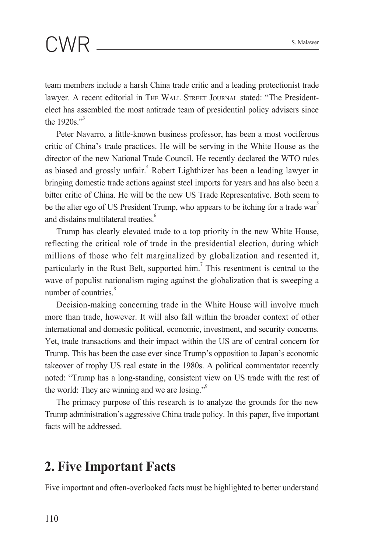team members include a harsh China trade critic and a leading protectionist trade lawyer. A recent editorial in The Wall Street Journal stated: "The Presidentelect has assembled the most antitrade team of presidential policy advisers since the 1920s."<sup>3</sup>

Peter Navarro, a little-known business professor, has been a most vociferous critic of China's trade practices. He will be serving in the White House as the director of the new National Trade Council. He recently declared the WTO rules as biased and grossly unfair.<sup>4</sup> Robert Lighthizer has been a leading lawyer in bringing domestic trade actions against steel imports for years and has also been a bitter critic of China. He will be the new US Trade Representative. Both seem to be the alter ego of US President Trump, who appears to be itching for a trade war<sup>5</sup> and disdains multilateral treaties.<sup>6</sup>

Trump has clearly elevated trade to a top priority in the new White House, reflecting the critical role of trade in the presidential election, during which millions of those who felt marginalized by globalization and resented it, particularly in the Rust Belt, supported  $\lim_{n \to \infty}$  This resentment is central to the wave of populist nationalism raging against the globalization that is sweeping a number of countries.<sup>8</sup>

Decision-making concerning trade in the White House will involve much more than trade, however. It will also fall within the broader context of other international and domestic political, economic, investment, and security concerns. Yet, trade transactions and their impact within the US are of central concern for Trump. This has been the case ever since Trump's opposition to Japan's economic takeover of trophy US real estate in the 1980s. A political commentator recently noted: "Trump has a long-standing, consistent view on US trade with the rest of the world: They are winning and we are losing."<sup>9</sup>

The primacy purpose of this research is to analyze the grounds for the new Trump administration's aggressive China trade policy. In this paper, five important facts will be addressed.

#### **2. Five Important Facts**

Five important and often-overlooked facts must be highlighted to better understand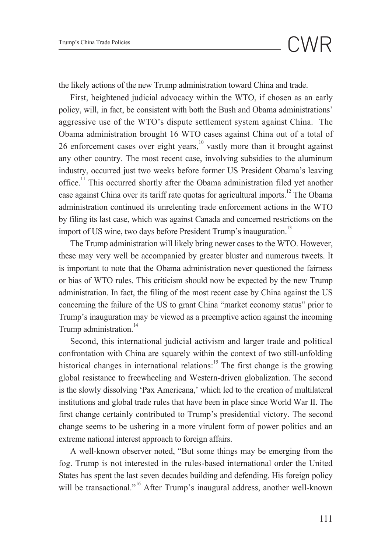the likely actions of the new Trump administration toward China and trade.

First, heightened judicial advocacy within the WTO, if chosen as an early policy, will, in fact, be consistent with both the Bush and Obama administrations' aggressive use of the WTO's dispute settlement system against China. The Obama administration brought 16 WTO cases against China out of a total of 26 enforcement cases over eight years, $10$  vastly more than it brought against any other country. The most recent case, involving subsidies to the aluminum industry, occurred just two weeks before former US President Obama's leaving office.<sup>11</sup> This occurred shortly after the Obama administration filed yet another case against China over its tariff rate quotas for agricultural imports.<sup>12</sup> The Obama administration continued its unrelenting trade enforcement actions in the WTO by filing its last case, which was against Canada and concerned restrictions on the import of US wine, two days before President Trump's inauguration.<sup>13</sup>

The Trump administration will likely bring newer cases to the WTO. However, these may very well be accompanied by greater bluster and numerous tweets. It is important to note that the Obama administration never questioned the fairness or bias of WTO rules. This criticism should now be expected by the new Trump administration. In fact, the filing of the most recent case by China against the US concerning the failure of the US to grant China "market economy status" prior to Trump's inauguration may be viewed as a preemptive action against the incoming Trump administration.<sup>14</sup>

Second, this international judicial activism and larger trade and political confrontation with China are squarely within the context of two still-unfolding historical changes in international relations:<sup>15</sup> The first change is the growing global resistance to freewheeling and Western-driven globalization. The second is the slowly dissolving 'Pax Americana,' which led to the creation of multilateral institutions and global trade rules that have been in place since World War II. The first change certainly contributed to Trump's presidential victory. The second change seems to be ushering in a more virulent form of power politics and an extreme national interest approach to foreign affairs.

A well-known observer noted, "But some things may be emerging from the fog. Trump is not interested in the rules-based international order the United States has spent the last seven decades building and defending. His foreign policy will be transactional."<sup>16</sup> After Trump's inaugural address, another well-known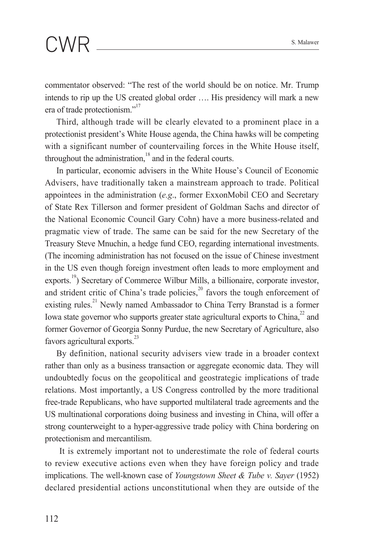commentator observed: "The rest of the world should be on notice. Mr. Trump intends to rip up the US created global order …. His presidency will mark a new era of trade protectionism."<sup>17</sup>

Third, although trade will be clearly elevated to a prominent place in a protectionist president's White House agenda, the China hawks will be competing with a significant number of countervailing forces in the White House itself, throughout the administration, $18$  and in the federal courts.

In particular, economic advisers in the White House's Council of Economic Advisers, have traditionally taken a mainstream approach to trade. Political appointees in the administration (*e.g*., former ExxonMobil CEO and Secretary of State Rex Tillerson and former president of Goldman Sachs and director of the National Economic Council Gary Cohn) have a more business-related and pragmatic view of trade. The same can be said for the new Secretary of the Treasury Steve Mnuchin, a hedge fund CEO, regarding international investments. (The incoming administration has not focused on the issue of Chinese investment in the US even though foreign investment often leads to more employment and exports.<sup>19</sup>) Secretary of Commerce Wilbur Mills, a billionaire, corporate investor, and strident critic of China's trade policies, $^{20}$  favors the tough enforcement of existing rules.<sup>21</sup> Newly named Ambassador to China Terry Branstad is a former Iowa state governor who supports greater state agricultural exports to  $China<sup>22</sup>$  and former Governor of Georgia Sonny Purdue, the new Secretary of Agriculture, also favors agricultural exports.<sup>23</sup>

By definition, national security advisers view trade in a broader context rather than only as a business transaction or aggregate economic data. They will undoubtedly focus on the geopolitical and geostrategic implications of trade relations. Most importantly, a US Congress controlled by the more traditional free-trade Republicans, who have supported multilateral trade agreements and the US multinational corporations doing business and investing in China, will offer a strong counterweight to a hyper-aggressive trade policy with China bordering on protectionism and mercantilism.

 It is extremely important not to underestimate the role of federal courts to review executive actions even when they have foreign policy and trade implications. The well-known case of *Youngstown Sheet & Tube v. Sayer* (1952) declared presidential actions unconstitutional when they are outside of the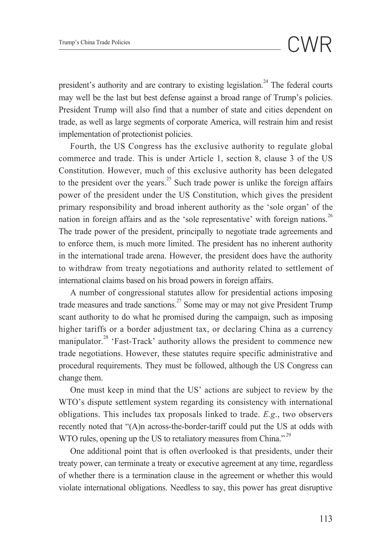president's authority and are contrary to existing legislation.<sup>24</sup> The federal courts may well be the last but best defense against a broad range of Trump's policies. President Trump will also find that a number of state and cities dependent on trade, as well as large segments of corporate America, will restrain him and resist implementation of protectionist policies.

Fourth, the US Congress has the exclusive authority to regulate global commerce and trade. This is under Article 1, section 8, clause 3 of the US Constitution. However, much of this exclusive authority has been delegated to the president over the years.<sup>25</sup> Such trade power is unlike the foreign affairs power of the president under the US Constitution, which gives the president primary responsibility and broad inherent authority as the 'sole organ' of the nation in foreign affairs and as the 'sole representative' with foreign nations.<sup>26</sup> The trade power of the president, principally to negotiate trade agreements and to enforce them, is much more limited. The president has no inherent authority in the international trade arena. However, the president does have the authority to withdraw from treaty negotiations and authority related to settlement of international claims based on his broad powers in foreign affairs.

A number of congressional statutes allow for presidential actions imposing trade measures and trade sanctions.<sup>27</sup> Some may or may not give President Trump scant authority to do what he promised during the campaign, such as imposing higher tariffs or a border adjustment tax, or declaring China as a currency manipulator.<sup>28</sup> 'Fast-Track' authority allows the president to commence new trade negotiations. However, these statutes require specific administrative and procedural requirements. They must be followed, although the US Congress can change them.

One must keep in mind that the US' actions are subject to review by the WTO's dispute settlement system regarding its consistency with international obligations. This includes tax proposals linked to trade. *E.g*., two observers recently noted that "(A)n across-the-border-tariff could put the US at odds with WTO rules, opening up the US to retaliatory measures from China."<sup>29</sup>

One additional point that is often overlooked is that presidents, under their treaty power, can terminate a treaty or executive agreement at any time, regardless of whether there is a termination clause in the agreement or whether this would violate international obligations. Needless to say, this power has great disruptive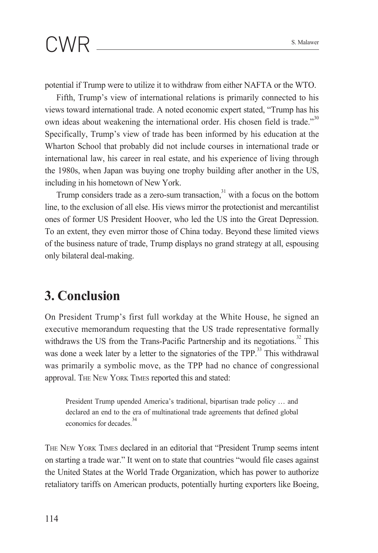potential if Trump were to utilize it to withdraw from either NAFTA or the WTO.

Fifth, Trump's view of international relations is primarily connected to his views toward international trade. A noted economic expert stated, "Trump has his own ideas about weakening the international order. His chosen field is trade."<sup>30</sup> Specifically, Trump's view of trade has been informed by his education at the Wharton School that probably did not include courses in international trade or international law, his career in real estate, and his experience of living through the 1980s, when Japan was buying one trophy building after another in the US, including in his hometown of New York.

Trump considers trade as a zero-sum transaction, $31$  with a focus on the bottom line, to the exclusion of all else. His views mirror the protectionist and mercantilist ones of former US President Hoover, who led the US into the Great Depression. To an extent, they even mirror those of China today. Beyond these limited views of the business nature of trade, Trump displays no grand strategy at all, espousing only bilateral deal-making.

#### **3. Conclusion**

On President Trump's first full workday at the White House, he signed an executive memorandum requesting that the US trade representative formally withdraws the US from the Trans-Pacific Partnership and its negotiations.<sup>32</sup> This was done a week later by a letter to the signatories of the TPP.<sup>33</sup> This withdrawal was primarily a symbolic move, as the TPP had no chance of congressional approval. The New York Times reported this and stated:

President Trump upended America's traditional, bipartisan trade policy … and declared an end to the era of multinational trade agreements that defined global economics for decades <sup>34</sup>

The New York Times declared in an editorial that "President Trump seems intent on starting a trade war." It went on to state that countries "would file cases against the United States at the World Trade Organization, which has power to authorize retaliatory tariffs on American products, potentially hurting exporters like Boeing,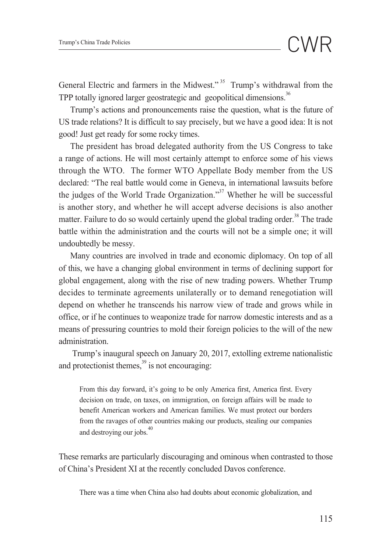General Electric and farmers in the Midwest."<sup>35</sup> Trump's withdrawal from the TPP totally ignored larger geostrategic and geopolitical dimensions.<sup>36</sup>

Trump's actions and pronouncements raise the question, what is the future of US trade relations? It is difficult to say precisely, but we have a good idea: It is not good! Just get ready for some rocky times.

The president has broad delegated authority from the US Congress to take a range of actions. He will most certainly attempt to enforce some of his views through the WTO. The former WTO Appellate Body member from the US declared: "The real battle would come in Geneva, in international lawsuits before the judges of the World Trade Organization."<sup>37</sup> Whether he will be successful is another story, and whether he will accept adverse decisions is also another matter. Failure to do so would certainly upend the global trading order.<sup>38</sup> The trade battle within the administration and the courts will not be a simple one; it will undoubtedly be messy.

Many countries are involved in trade and economic diplomacy. On top of all of this, we have a changing global environment in terms of declining support for global engagement, along with the rise of new trading powers. Whether Trump decides to terminate agreements unilaterally or to demand renegotiation will depend on whether he transcends his narrow view of trade and grows while in office, or if he continues to weaponize trade for narrow domestic interests and as a means of pressuring countries to mold their foreign policies to the will of the new administration.

 Trump's inaugural speech on January 20, 2017, extolling extreme nationalistic and protectionist themes, $39$  is not encouraging:

From this day forward, it's going to be only America first, America first. Every decision on trade, on taxes, on immigration, on foreign affairs will be made to benefit American workers and American families. We must protect our borders from the ravages of other countries making our products, stealing our companies and destroying our jobs.<sup>40</sup>

These remarks are particularly discouraging and ominous when contrasted to those of China's President XI at the recently concluded Davos conference.

There was a time when China also had doubts about economic globalization, and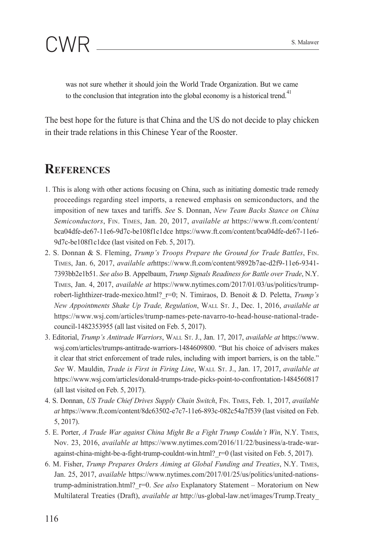

was not sure whether it should join the World Trade Organization. But we came to the conclusion that integration into the global economy is a historical trend.<sup>41</sup>

The best hope for the future is that China and the US do not decide to play chicken in their trade relations in this Chinese Year of the Rooster.

#### **References**

- 1. This is along with other actions focusing on China, such as initiating domestic trade remedy proceedings regarding steel imports, a renewed emphasis on semiconductors, and the imposition of new taxes and tariffs. *See* S. Donnan, *New Team Backs Stance on China Semiconductors*, Fin. Times, Jan. 20, 2017, *available at* https://www.ft.com/content/ bca04dfe-de67-11e6-9d7c-be108f1c1dce https://www.ft.com/content/bca04dfe-de67-11e6- 9d7c-be108f1c1dce (last visited on Feb. 5, 2017).
- 2. S. Donnan & S. Fleming, *Trump's Troops Prepare the Ground for Trade Battles*, Fin. Times, Jan. 6, 2017, *available at*https://www.ft.com/content/9892b7ae-d2f9-11e6-9341- 7393bb2e1b51. *See also* B. Appelbaum, *Trump Signals Readiness for Battle over Trade*, N.Y. Times, Jan. 4, 2017, *available at* https://www.nytimes.com/2017/01/03/us/politics/trumprobert-lighthizer-trade-mexico.html?\_r=0; N. Timiraos, D. Benoit & D. Peletta, *Trump's New Appointments Shake Up Trade, Regulation*, Wall St. J., Dec. 1, 2016, *available at* https://www.wsj.com/articles/trump-names-pete-navarro-to-head-house-national-tradecouncil-1482353955 (all last visited on Feb. 5, 2017).
- 3. Editorial, *Trump's Antitrade Warriors*, Wall St. J., Jan. 17, 2017, *available at* https://www. wsj.com/articles/trumps-antitrade-warriors-1484609800. "But his choice of advisers makes it clear that strict enforcement of trade rules, including with import barriers, is on the table." *See* W. Mauldin, *Trade is First in Firing Line*, Wall St. J., Jan. 17, 2017, *available at* https://www.wsj.com/articles/donald-trumps-trade-picks-point-to-confrontation-1484560817 (all last visited on Feb. 5, 2017).
- 4. S. Donnan, *US Trade Chief Drives Supply Chain Switch*, Fin. Times, Feb. 1, 2017, *available at*https://www.ft.com/content/8dc63502-e7c7-11e6-893c-082c54a7f539 (last visited on Feb. 5, 2017).
- 5. E. Porter, *A Trade War against China Might Be a Fight Trump Couldn't Win*, N.Y. Times, Nov. 23, 2016, *available at* https://www.nytimes.com/2016/11/22/business/a-trade-waragainst-china-might-be-a-fight-trump-couldnt-win.html?  $r=0$  (last visited on Feb. 5, 2017).
- 6. M. Fisher, *Trump Prepares Orders Aiming at Global Funding and Treaties*, N.Y. Times, Jan. 25, 2017, *available* https://www.nytimes.com/2017/01/25/us/politics/united-nationstrump-administration.html?\_r=0. *See also* Explanatory Statement – Moratorium on New Multilateral Treaties (Draft), *available at* http://us-global-law.net/images/Trump.Treaty\_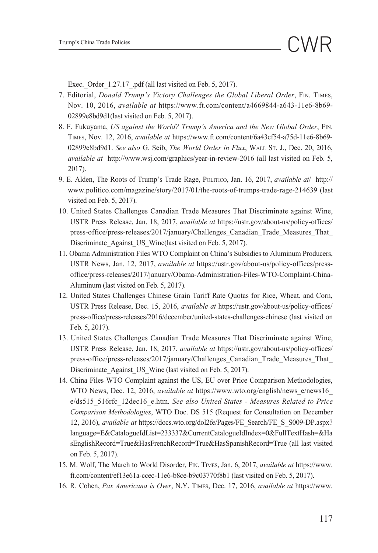Exec. Order 1.27.17 .pdf (all last visited on Feb. 5, 2017).

- 7. Editorial, *Donald Trump's Victory Challenges the Global Liberal Order*, Fin. Times, Nov. 10, 2016, *available at* https://www.ft.com/content/a4669844-a643-11e6-8b69- 02899e8bd9d1(last visited on Feb. 5, 2017).
- 8. F. Fukuyama, *US against the World? Trump's America and the New Global Order*, Fin. Times, Nov. 12, 2016, *available at* https://www.ft.com/content/6a43cf54-a75d-11e6-8b69- 02899e8bd9d1. *See also* G. Seib, *The World Order in Flux*, Wall St. J., Dec. 20, 2016, *available at* http://www.wsj.com/graphics/year-in-review-2016 (all last visited on Feb. 5, 2017).
- 9. E. Alden, The Roots of Trump's Trade Rage, Politico, Jan. 16, 2017, *available at*/ http:// www.politico.com/magazine/story/2017/01/the-roots-of-trumps-trade-rage-214639 (last visited on Feb. 5, 2017).
- 10. United States Challenges Canadian Trade Measures That Discriminate against Wine, USTR Press Release, Jan. 18, 2017, *available at* https://ustr.gov/about-us/policy-offices/ press-office/press-releases/2017/january/Challenges\_Canadian\_Trade\_Measures\_That\_ Discriminate Against US Wine(last visited on Feb. 5, 2017).
- 11. Obama Administration Files WTO Complaint on China's Subsidies to Aluminum Producers, USTR News, Jan. 12, 2017, *available at* https://ustr.gov/about-us/policy-offices/pressoffice/press-releases/2017/january/Obama-Administration-Files-WTO-Complaint-China-Aluminum (last visited on Feb. 5, 2017).
- 12. United States Challenges Chinese Grain Tariff Rate Quotas for Rice, Wheat, and Corn, USTR Press Release, Dec. 15, 2016, *available at* https://ustr.gov/about-us/policy-offices/ press-office/press-releases/2016/december/united-states-challenges-chinese (last visited on Feb. 5, 2017).
- 13. United States Challenges Canadian Trade Measures That Discriminate against Wine, USTR Press Release, Jan. 18, 2017, *available at* https://ustr.gov/about-us/policy-offices/ press-office/press-releases/2017/january/Challenges\_Canadian\_Trade\_Measures\_That\_ Discriminate Against US Wine (last visited on Feb. 5, 2017).
- 14. China Files WTO Complaint against the US, EU over Price Comparison Methodologies, WTO News, Dec. 12, 2016, *available at* https://www.wto.org/english/news\_e/news16\_ e/ds515\_516rfc\_12dec16\_e.htm*. See also United States - Measures Related to Price Comparison Methodologies*, WTO Doc. DS 515 (Request for Consultation on December 12, 2016), *available at* https://docs.wto.org/dol2fe/Pages/FE\_Search/FE\_S\_S009-DP.aspx? language=E&CatalogueIdList=233337&CurrentCatalogueIdIndex=0&FullTextHash=&Ha sEnglishRecord=True&HasFrenchRecord=True&HasSpanishRecord=True (all last visited on Feb. 5, 2017).
- 15. M. Wolf, The March to World Disorder, Fin. Times, Jan. 6, 2017, *available at* https://www. ft.com/content/ef13e61a-ccec-11e6-b8ce-b9c03770f8b1 (last visited on Feb. 5, 2017).
- 16. R. Cohen, *Pax Americana is Over*, N.Y. Times, Dec. 17, 2016, *available at* https://www.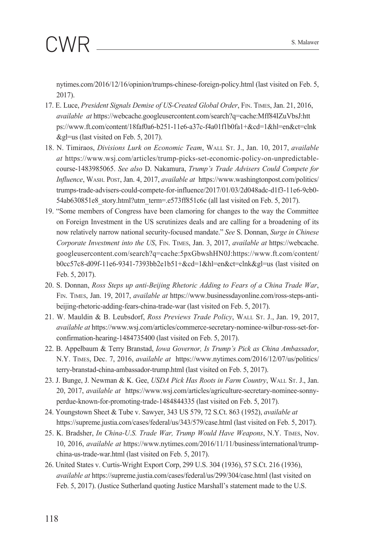nytimes.com/2016/12/16/opinion/trumps-chinese-foreign-policy.html (last visited on Feb. 5, 2017).

- 17. E. Luce, *President Signals Demise of US-Created Global Order*, Fin. Times, Jan. 21, 2016, *available at* https://webcache.googleusercontent.com/search?q=cache:Mff84IZuVbsJ:htt ps://www.ft.com/content/18faf0a6-b251-11e6-a37c-f4a01f1b0fa1+&cd=1&hl=en&ct=clnk &gl=us (last visited on Feb. 5, 2017).
- 18. N. Timiraos, *Divisions Lurk on Economic Team*, Wall St. J., Jan. 10, 2017, *available at* https://www.wsj.com/articles/trump-picks-set-economic-policy-on-unpredictablecourse-1483985065. *See also* D. Nakamura, *Trump's Trade Advisers Could Compete for Influence*, Wash. Post, Jan. 4, 2017, *available at* https://www.washingtonpost.com/politics/ trumps-trade-advisers-could-compete-for-influence/2017/01/03/2d048adc-d1f3-11e6-9cb0- 54ab630851e8\_story.html?utm\_term=.e573ff851c6c (all last visited on Feb. 5, 2017).
- 19. "Some members of Congress have been clamoring for changes to the way the Committee on Foreign Investment in the US scrutinizes deals and are calling for a broadening of its now relatively narrow national security-focused mandate." *See* S. Donnan, *Surge in Chinese Corporate Investment into the US*, Fin. Times, Jan. 3, 2017, *available at* https://webcache. googleusercontent.com/search?q=cache:5pxGbwshHN0J:https://www.ft.com/content/ b0cc57c8-d09f-11e6-9341-7393bb2e1b51+&cd=1&hl=en&ct=clnk&gl=us (last visited on Feb. 5, 2017).
- 20. S. Donnan, *Ross Steps up anti-Beijing Rhetoric Adding to Fears of a China Trade War*, Fin. Times, Jan. 19, 2017, *available at* https://www.businessdayonline.com/ross-steps-antibeijing-rhetoric-adding-fears-china-trade-war (last visited on Feb. 5, 2017).
- 21. W. Mauldin & B. Leubsdorf, *Ross Previews Trade Policy*, Wall St. J., Jan. 19, 2017, *available at* https://www.wsj.com/articles/commerce-secretary-nominee-wilbur-ross-set-forconfirmation-hearing-1484735400 (last visited on Feb. 5, 2017).
- 22. B. Appelbaum & Terry Branstad, *Iowa Governor, Is Trump's Pick as China Ambassador*, N.Y. Times, Dec. 7, 2016, *available at* https://www.nytimes.com/2016/12/07/us/politics/ terry-branstad-china-ambassador-trump.html (last visited on Feb. 5, 2017).
- 23. J. Bunge, J. Newman & K. Gee, *USDA Pick Has Roots in Farm Country*, WALL St. J., Jan. 20, 2017, *available at* https://www.wsj.com/articles/agriculture-secretary-nominee-sonnyperdue-known-for-promoting-trade-1484844335 (last visited on Feb. 5, 2017).
- 24. Youngstown Sheet & Tube v. Sawyer, 343 US 579, 72 S.Ct. 863 (1952), *available at* https://supreme.justia.com/cases/federal/us/343/579/case.html (last visited on Feb. 5, 2017).
- 25. K. Bradsher, *In China-U.S. Trade War, Trump Would Have Weapons*, N.Y. Times, Nov. 10, 2016, *available at* https://www.nytimes.com/2016/11/11/business/international/trumpchina-us-trade-war.html (last visited on Feb. 5, 2017).
- 26. United States v. Curtis-Wright Export Corp, 299 U.S. 304 (1936), 57 S.Ct. 216 (1936), *available at* https://supreme.justia.com/cases/federal/us/299/304/case.html (last visited on Feb. 5, 2017). (Justice Sutherland quoting Justice Marshall's statement made to the U.S.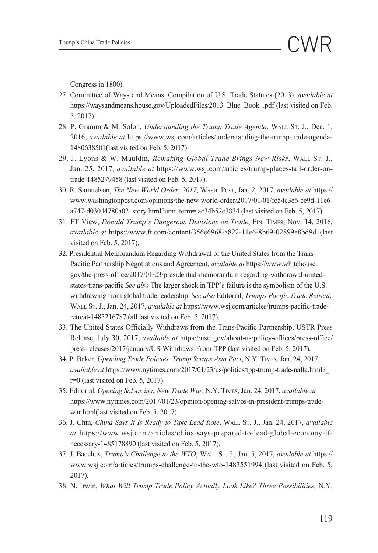Congress in 1800).

- 27. Committee of Ways and Means, Compilation of U.S. Trade Statutes (2013), *available at* https://waysandmeans.house.gov/UploadedFiles/2013\_Blue\_Book\_.pdf (last visited on Feb. 5, 2017).
- 28. P. Gramm & M. Solon, *Understanding the Trump Trade Agenda*, Wall St. J., Dec. 1, 2016, *available at* https://www.wsj.com/articles/understanding-the-trump-trade-agenda-1480638501(last visited on Feb. 5, 2017).
- 29. J. Lyons & W. Mauldin, *Remaking Global Trade Brings New Risks*, WALL St. J., Jan. 25, 2017, *available at* https://www.wsj.com/articles/trump-places-tall-order-ontrade-1485279458 (last visited on Feb. 5, 2017).
- 30. R. Samuelson, *The New World Order, 2017*, Wash. Post, Jan. 2, 2017, *available at* https:// www.washingtonpost.com/opinions/the-new-world-order/2017/01/01/fc54c3e6-ce9d-11e6 a747-d03044780a02\_story.html?utm\_term=.ac34b52c3834 (last visited on Feb. 5, 2017).
- 31. FT View, *Donald Trump's Dangerous Delusions on Trade*, Fin. Times, Nov. 14, 2016, *available at* https://www.ft.com/content/356e6968-a822-11e6-8b69-02899e8bd9d1(last visited on Feb. 5, 2017).
- 32. Presidential Memorandum Regarding Withdrawal of the United States from the Trans-Pacific Partnership Negotiations and Agreement, *available at* https://www.whitehouse. gov/the-press-office/2017/01/23/presidential-memorandum-regarding-withdrawal-unitedstates-trans-pacific *See also* The larger shock in TPP's failure is the symbolism of the U.S. withdrawing from global trade leadership. *See also* Editorial, *Trumps Pacific Trade Retreat*, Wall St. J., Jan. 24, 2017, *available at* https://www.wsj.com/articles/trumps-pacific-traderetreat-1485216787 (all last visited on Feb. 5, 2017).
- 33. The United States Officially Withdraws from the Trans-Pacific Partnership, USTR Press Release, July 30, 2017, *available at* https://ustr.gov/about-us/policy-offices/press-office/ press-releases/2017/january/US-Withdraws-From-TPP (last visited on Feb. 5, 2017).
- 34. P. Baker, *Upending Trade Policies, Trump Scraps Asia Pact*, N.Y. Times, Jan. 24, 2017, *available at* https://www.nytimes.com/2017/01/23/us/politics/tpp-trump-trade-nafta.html?\_ r=0 (last visited on Feb. 5, 2017).
- 35. Editorial, *Opening Salvos in a New Trade War*, N.Y. Times, Jan. 24, 2017, *available at* https://www.nytimes.com/2017/01/23/opinion/opening-salvos-in-president-trumps-tradewar.html(last visited on Feb. 5, 2017).
- 36. J. Chin, *China Says It Is Ready to Take Lead Role*, Wall St. J., Jan. 24, 2017, *available at* https://www.wsj.com/articles/china-says-prepared-to-lead-global-economy-ifnecessary-1485178890 (last visited on Feb. 5, 2017).
- 37. J. Bacchus, *Trump's Challenge to the WTO*, Wall St. J., Jan. 5, 2017, *available at* https:// www.wsj.com/articles/trumps-challenge-to-the-wto-1483551994 (last visited on Feb. 5, 2017).
- 38. N. Irwin, *What Will Trump Trade Policy Actually Look Like? Three Possibilities*, N.Y.